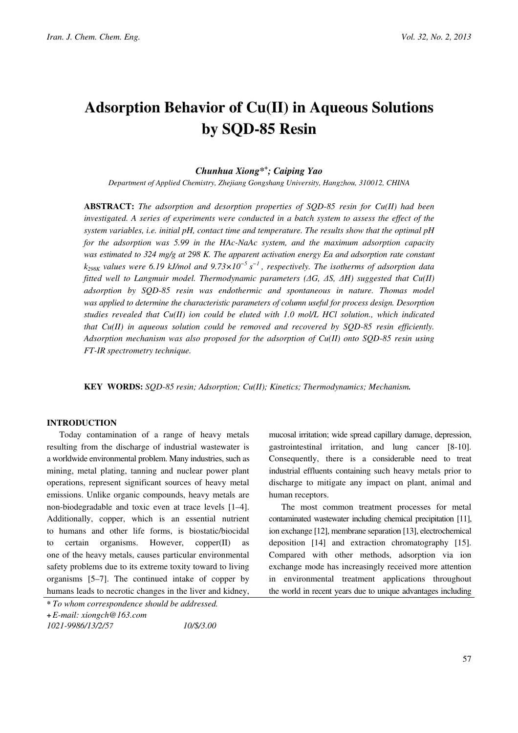# Adsorption Behavior of Cu(II) in Aqueous Solutions by SQD-85 Resin

# Chunhua Xiong\*<sup>+</sup> ; Caiping Yao

Department of Applied Chemistry, Zhejiang Gongshang University, Hangzhou, 310012, CHINA

**ABSTRACT:** The adsorption and desorption properties of  $SQD-85$  resin for  $Cu(II)$  had been investigated. A series of experiments were conducted in a batch system to assess the effect of the system variables, i.e. initial pH, contact time and temperature. The results show that the optimal  $pH$ for the adsorption was 5.99 in the HAc-NaAc system, and the maximum adsorption capacity was estimated to 324 mg/g at 298 K. The apparent activation energy Ea and adsorption rate constant  $k_{298K}$  values were 6.19 kJ/mol and 9.73×10<sup>-5</sup> s<sup>-1</sup>, respectively. The isotherms of adsorption data fitted well to Langmuir model. Thermodynamic parameters ( $\Delta G$ ,  $\Delta S$ ,  $\Delta H$ ) suggested that Cu(II) adsorption by SQD-85 resin was endothermic and spontaneous in nature. Thomas model was applied to determine the characteristic parameters of column useful for process design. Desorption studies revealed that  $Cu(II)$  ion could be eluted with 1.0 mol/L HCl solution., which indicated that  $Cu(II)$  in aqueous solution could be removed and recovered by  $SOD-85$  resin efficiently. Adsorption mechanism was also proposed for the adsorption of  $Cu(II)$  onto SQD-85 resin using FT-IR spectrometry technique.

KEY WORDS: SQD-85 resin; Adsorption; Cu(II); Kinetics; Thermodynamics; Mechanism.

# INTRODUCTION

Today contamination of a range of heavy metals resulting from the discharge of industrial wastewater is a worldwide environmental problem. Many industries, such as mining, metal plating, tanning and nuclear power plant operations, represent significant sources of heavy metal emissions. Unlike organic compounds, heavy metals are non-biodegradable and toxic even at trace levels [1–4]. Additionally, copper, which is an essential nutrient to humans and other life forms, is biostatic/biocidal to certain organisms. However, copper(II) as one of the heavy metals, causes particular environmental safety problems due to its extreme toxity toward to living organisms [5–7]. The continued intake of copper by humans leads to necrotic changes in the liver and kidney,

mucosal irritation; wide spread capillary damage, depression, gastrointestinal irritation, and lung cancer [8-10]. Consequently, there is a considerable need to treat industrial effluents containing such heavy metals prior to discharge to mitigate any impact on plant, animal and human receptors.

The most common treatment processes for metal contaminated wastewater including chemical precipitation [11], ion exchange [12], membrane separation [13], electrochemical deposition [14] and extraction chromatography [15]. Compared with other methods, adsorption via ion exchange mode has increasingly received more attention in environmental treatment applications throughout the world in recent years due to unique advantages including

<sup>\*</sup> To whom correspondence should be addressed.

<sup>+</sup>E-mail: xiongch@163.com

<sup>1021-9986/13/2/5</sup>7 10/\$/3.00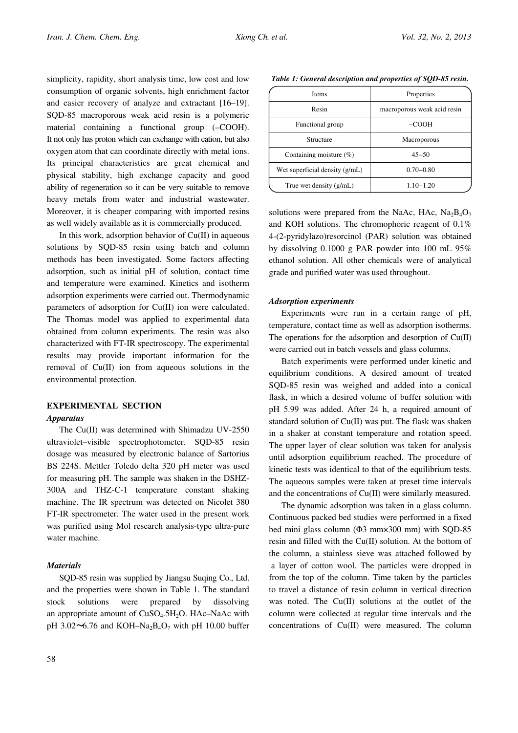simplicity, rapidity, short analysis time, low cost and low consumption of organic solvents, high enrichment factor and easier recovery of analyze and extractant [16–19]. SQD-85 macroporous weak acid resin is a polymeric material containing a functional group (–COOH). It not only has proton which can exchange with cation, but also oxygen atom that can coordinate directly with metal ions. Its principal characteristics are great chemical and physical stability, high exchange capacity and good ability of regeneration so it can be very suitable to remove heavy metals from water and industrial wastewater. Moreover, it is cheaper comparing with imported resins as well widely available as it is commercially produced.

In this work, adsorption behavior of  $Cu(II)$  in aqueous solutions by SQD-85 resin using batch and column methods has been investigated. Some factors affecting adsorption, such as initial pH of solution, contact time and temperature were examined. Kinetics and isotherm adsorption experiments were carried out. Thermodynamic parameters of adsorption for Cu(II) ion were calculated. The Thomas model was applied to experimental data obtained from column experiments. The resin was also characterized with FT-IR spectroscopy. The experimental results may provide important information for the removal of Cu(II) ion from aqueous solutions in the environmental protection.

# EXPERIMENTAL SECTION

## Apparatus

The Cu(II) was determined with Shimadzu UV-2550 ultraviolet–visible spectrophotometer. SQD-85 resin dosage was measured by electronic balance of Sartorius BS 224S. Mettler Toledo delta 320 pH meter was used for measuring pH. The sample was shaken in the DSHZ-300A and THZ-C-1 temperature constant shaking machine. The IR spectrum was detected on Nicolet 380 FT-IR spectrometer. The water used in the present work was purified using Mol research analysis-type ultra-pure water machine.

## **Materials**

SQD-85 resin was supplied by Jiangsu Suqing Co., Ltd. and the properties were shown in Table 1. The standard stock solutions were prepared by dissolving an appropriate amount of CuSO<sub>4</sub>.5H<sub>2</sub>O. HAc–NaAc with pH 3.02 $\sim$ 6.76 and KOH–Na<sub>2</sub>B<sub>4</sub>O<sub>7</sub> with pH 10.00 buffer

| <b>Items</b>                     | Properties                  |  |  |
|----------------------------------|-----------------------------|--|--|
| Resin                            | macroporous weak acid resin |  |  |
| Functional group                 | $-COOH$                     |  |  |
| Structure                        | <b>Macroporous</b>          |  |  |
| Containing moisture $(\%)$       | $45 - 50$                   |  |  |
| Wet superficial density $(g/mL)$ | $0.70 - 0.80$               |  |  |
| True wet density (g/mL)          | $1.10 - 1.20$               |  |  |

Table 1: General description and properties of SQD-85 resin.

solutions were prepared from the NaAc, HAc,  $Na<sub>2</sub>B<sub>4</sub>O<sub>7</sub>$ and KOH solutions. The chromophoric reagent of 0.1% 4-(2-pyridylazo)resorcinol (PAR) solution was obtained by dissolving 0.1000 g PAR powder into 100 mL 95% ethanol solution. All other chemicals were of analytical grade and purified water was used throughout.

### Adsorption experiments

Experiments were run in a certain range of pH, temperature, contact time as well as adsorption isotherms. The operations for the adsorption and desorption of  $Cu(II)$ were carried out in batch vessels and glass columns.

Batch experiments were performed under kinetic and equilibrium conditions. A desired amount of treated SQD-85 resin was weighed and added into a conical flask, in which a desired volume of buffer solution with pH 5.99 was added. After 24 h, a required amount of standard solution of Cu(II) was put. The flask was shaken in a shaker at constant temperature and rotation speed. The upper layer of clear solution was taken for analysis until adsorption equilibrium reached. The procedure of kinetic tests was identical to that of the equilibrium tests. The aqueous samples were taken at preset time intervals and the concentrations of Cu(II) were similarly measured.

The dynamic adsorption was taken in a glass column. Continuous packed bed studies were performed in a fixed bed mini glass column  $(\Phi3$  mm $\times300$  mm) with SQD-85 resin and filled with the Cu(II) solution. At the bottom of the column, a stainless sieve was attached followed by a layer of cotton wool. The particles were dropped in from the top of the column. Time taken by the particles to travel a distance of resin column in vertical direction was noted. The Cu(II) solutions at the outlet of the column were collected at regular time intervals and the concentrations of Cu(II) were measured. The column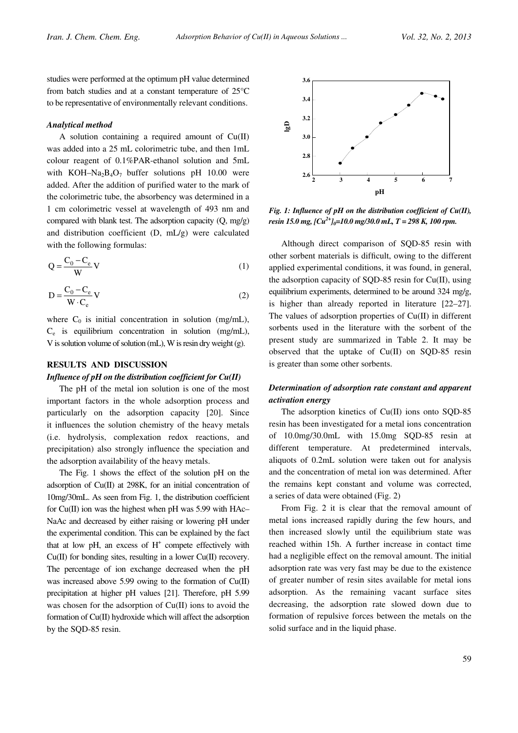studies were performed at the optimum pH value determined from batch studies and at a constant temperature of 25°C to be representative of environmentally relevant conditions.

### Analytical method

A solution containing a required amount of  $Cu(II)$ was added into a 25 mL colorimetric tube, and then 1mL colour reagent of 0.1%PAR-ethanol solution and 5mL with KOH–Na<sub>2</sub>B<sub>4</sub>O<sub>7</sub> buffer solutions pH 10.00 were added. After the addition of purified water to the mark of the colorimetric tube, the absorbency was determined in a 1 cm colorimetric vessel at wavelength of 493 nm and compared with blank test. The adsorption capacity (Q, mg/g) and distribution coefficient (D, mL/g) were calculated with the following formulas:

$$
Q = \frac{C_0 - C_e}{W} V
$$
 (1)

$$
D = \frac{C_0 - C_e}{W \cdot C_e} V
$$
 (2)

where  $C_0$  is initial concentration in solution (mg/mL), Ce is equilibrium concentration in solution (mg/mL), V is solution volume of solution (mL), W is resin dry weight (g).

# RESULTS AND DISCUSSION Influence of  $pH$  on the distribution coefficient for  $Cu(II)$

The pH of the metal ion solution is one of the most important factors in the whole adsorption process and particularly on the adsorption capacity [20]. Since it influences the solution chemistry of the heavy metals (i.e. hydrolysis, complexation redox reactions, and precipitation) also strongly influence the speciation and the adsorption availability of the heavy metals.

The Fig. 1 shows the effect of the solution pH on the adsorption of Cu(II) at 298K, for an initial concentration of 10mg/30mL. As seen from Fig. 1, the distribution coefficient for  $Cu(II)$  ion was the highest when pH was 5.99 with HAc– NaAc and decreased by either raising or lowering pH under the experimental condition. This can be explained by the fact that at low pH, an excess of  $H^+$  compete effectively with  $Cu(II)$  for bonding sites, resulting in a lower  $Cu(II)$  recovery. The percentage of ion exchange decreased when the pH was increased above 5.99 owing to the formation of Cu(II) precipitation at higher pH values [21]. Therefore, pH 5.99 was chosen for the adsorption of Cu(II) ions to avoid the formation of Cu(II) hydroxide which will affect the adsorption by the SQD-85 resin.



Fig. 1: Influence of  $pH$  on the distribution coefficient of  $Cu(II)$ , resin 15.0 mg,  $[Cu^{2+}]_0=10.0$  mg/30.0 mL, T = 298 K, 100 rpm.

Although direct comparison of SQD-85 resin with other sorbent materials is difficult, owing to the different applied experimental conditions, it was found, in general, the adsorption capacity of SQD-85 resin for Cu(II), using equilibrium experiments, determined to be around 324 mg/g, is higher than already reported in literature [22–27]. The values of adsorption properties of Cu(II) in different sorbents used in the literature with the sorbent of the present study are summarized in Table 2. It may be observed that the uptake of Cu(II) on SQD-85 resin is greater than some other sorbents.

# Determination of adsorption rate constant and apparent activation energy

The adsorption kinetics of Cu(II) ions onto SQD-85 resin has been investigated for a metal ions concentration of 10.0mg/30.0mL with 15.0mg SQD-85 resin at different temperature. At predetermined intervals, aliquots of 0.2mL solution were taken out for analysis and the concentration of metal ion was determined. After the remains kept constant and volume was corrected, a series of data were obtained (Fig. 2)

From Fig. 2 it is clear that the removal amount of metal ions increased rapidly during the few hours, and then increased slowly until the equilibrium state was reached within 15h. A further increase in contact time had a negligible effect on the removal amount. The initial adsorption rate was very fast may be due to the existence of greater number of resin sites available for metal ions adsorption. As the remaining vacant surface sites decreasing, the adsorption rate slowed down due to formation of repulsive forces between the metals on the solid surface and in the liquid phase.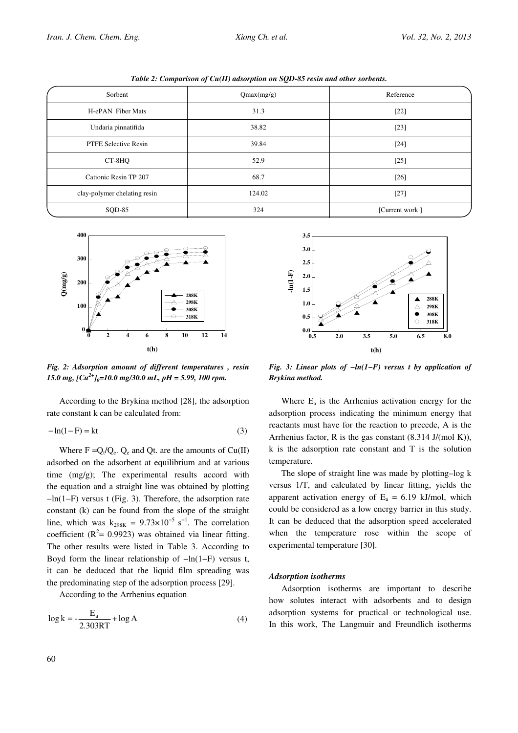Table 2: Comparison of Cu(II) adsorption on SQD-85 resin and other sorbents.

| Sorbent                      | Qmax(mg/g) | Reference      |
|------------------------------|------------|----------------|
| H-ePAN Fiber Mats            | 31.3       | $[22]$         |
| Undaria pinnatifida          | 38.82      | $[23]$         |
| <b>PTFE Selective Resin</b>  | 39.84      | $[24]$         |
| CT-8HQ                       | 52.9       | $[25]$         |
| Cationic Resin TP 207        | 68.7       | $[26]$         |
| clay-polymer chelating resin | 124.02     | $[27]$         |
| SQD-85                       | 324        | [Current work] |



Fig. 2: Adsorption amount of different temperatures , resin 15.0 mg,  $[Cu^{2+}]_0=10.0$  mg/30.0 mL, pH = 5.99, 100 rpm.

According to the Brykina method [28], the adsorption rate constant k can be calculated from:

$$
-\ln(1 - F) = kt \tag{3}
$$

Where  $F = Q_t/Q_e$ .  $Q_e$  and Qt. are the amounts of Cu(II) adsorbed on the adsorbent at equilibrium and at various time (mg/g); The experimental results accord with the equation and a straight line was obtained by plotting −ln(1−F) versus t (Fig. 3). Therefore, the adsorption rate constant (k) can be found from the slope of the straight line, which was  $k_{298K} = 9.73 \times 10^{-5}$  s<sup>-1</sup>. The correlation coefficient ( $R^2$ = 0.9923) was obtained via linear fitting. The other results were listed in Table 3. According to Boyd form the linear relationship of −ln(1−F) versus t, it can be deduced that the liquid film spreading was the predominating step of the adsorption process [29].

According to the Arrhenius equation

$$
\log k = -\frac{E_a}{2.303RT} + \log A \tag{4}
$$



Fig. 3: Linear plots of  $-\ln(1-F)$  versus t by application of Brykina method.

Where  $E_a$  is the Arrhenius activation energy for the adsorption process indicating the minimum energy that reactants must have for the reaction to precede, A is the Arrhenius factor, R is the gas constant  $(8.314 \text{ J/(mol K)}),$ k is the adsorption rate constant and T is the solution temperature.

The slope of straight line was made by plotting–log k versus 1/T, and calculated by linear fitting, yields the apparent activation energy of  $E_a = 6.19$  kJ/mol, which could be considered as a low energy barrier in this study. It can be deduced that the adsorption speed accelerated when the temperature rose within the scope of experimental temperature [30].

# Adsorption isotherms

Adsorption isotherms are important to describe how solutes interact with adsorbents and to design adsorption systems for practical or technological use. In this work, The Langmuir and Freundlich isotherms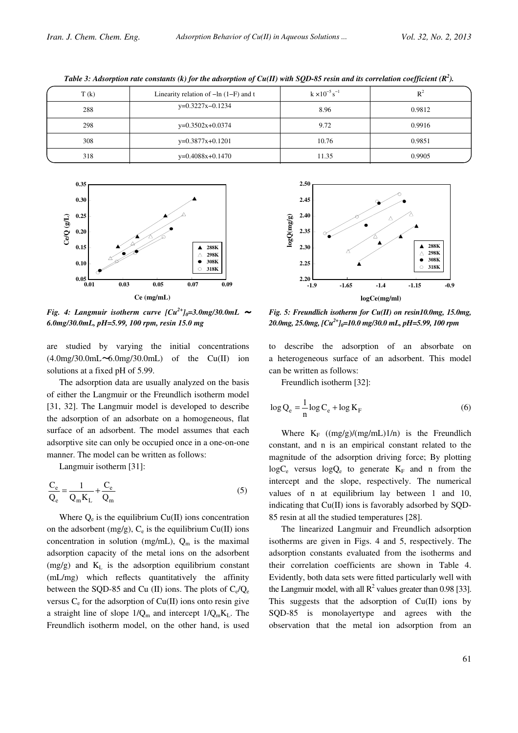| T(k) | Linearity relation of $-\ln(1-F)$ and t | $k \times 10^{-5}$ s <sup>-1</sup> | $R^2$  |
|------|-----------------------------------------|------------------------------------|--------|
| 288  | $y=0.3227x-0.1234$                      | 8.96                               | 0.9812 |
| 298  | $y=0.3502x+0.0374$                      | 9.72                               | 0.9916 |
| 308  | $y=0.3877x+0.1201$                      | 10.76                              | 0.9851 |
| 318  | $y=0.4088x+0.1470$                      | 11.35                              | 0.9905 |

Table 3: Adsorption rate constants (k) for the adsorption of Cu(II) with SQD-85 resin and its correlation coefficient (R<sup>2</sup>).



Fig. 4: Langmuir isotherm curve  $\left[ Cu^{2+} \right]_0 = 3.0$ mg/30.0mL  $\sim$ 6.0mg/30.0mL, pH=5.99, 100 rpm, resin 15.0 mg

are studied by varying the initial concentrations  $(4.0\text{mg}/30.0\text{mL}\sim6.0\text{mg}/30.0\text{mL})$  of the Cu(II) ion solutions at a fixed pH of 5.99.

The adsorption data are usually analyzed on the basis of either the Langmuir or the Freundlich isotherm model [31, 32]. The Langmuir model is developed to describe the adsorption of an adsorbate on a homogeneous, flat surface of an adsorbent. The model assumes that each adsorptive site can only be occupied once in a one-on-one manner. The model can be written as follows:

Langmuir isotherm [31]:

$$
\frac{C_e}{Q_e} = \frac{1}{Q_m K_L} + \frac{C_e}{Q_m}
$$
\n<sup>(5)</sup>

Where  $Q_e$  is the equilibrium Cu(II) ions concentration on the adsorbent  $(mg/g)$ ,  $C_e$  is the equilibrium Cu(II) ions concentration in solution (mg/mL),  $Q_m$  is the maximal adsorption capacity of the metal ions on the adsorbent  $(mg/g)$  and  $K<sub>L</sub>$  is the adsorption equilibrium constant (mL/mg) which reflects quantitatively the affinity between the SQD-85 and Cu (II) ions. The plots of  $C_e/Q_e$ versus  $C_e$  for the adsorption of  $Cu(II)$  ions onto resin give a straight line of slope  $1/Q_m$  and intercept  $1/Q_mK_L$ . The Freundlich isotherm model, on the other hand, is used



Fig. 5: Freundlich isotherm for Cu(II) on resin10.0mg, 15.0mg, 20.0mg, 25.0mg,  $[Cu^{2+}]_0=10.0$  mg/30.0 mL, pH=5.99, 100 rpm

to describe the adsorption of an absorbate on a heterogeneous surface of an adsorbent. This model can be written as follows:

Freundlich isotherm [32]:

$$
\log Q_e = \frac{1}{n} \log C_e + \log K_F \tag{6}
$$

Where  $K_F$  ((mg/g)/(mg/mL)1/n) is the Freundlich constant, and n is an empirical constant related to the magnitude of the adsorption driving force; By plotting  $log C_e$  versus  $log Q_e$  to generate  $K_F$  and n from the intercept and the slope, respectively. The numerical values of n at equilibrium lay between 1 and 10, indicating that Cu(II) ions is favorably adsorbed by SQD-85 resin at all the studied temperatures [28].

The linearized Langmuir and Freundlich adsorption isotherms are given in Figs. 4 and 5, respectively. The adsorption constants evaluated from the isotherms and their correlation coefficients are shown in Table 4. Evidently, both data sets were fitted particularly well with the Langmuir model, with all  $R^2$  values greater than 0.98 [33]. This suggests that the adsorption of  $Cu(II)$  ions by SQD-85 is monolayertype and agrees with the observation that the metal ion adsorption from an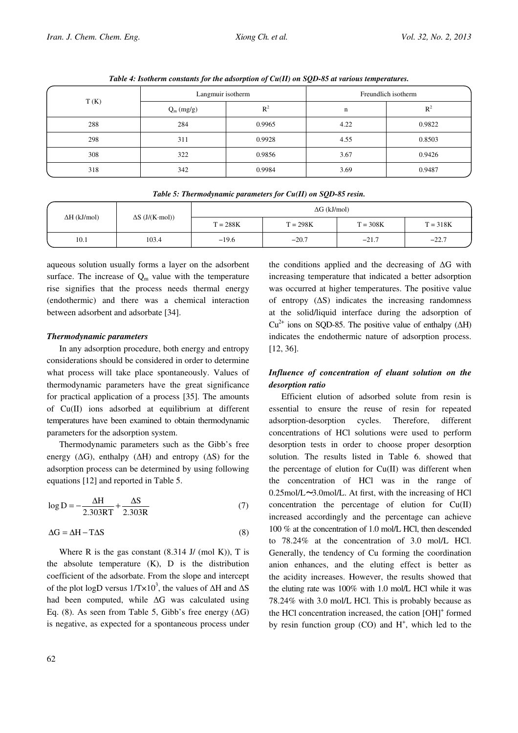| T(K) | Langmuir isotherm |        | Freundlich isotherm |        |  |
|------|-------------------|--------|---------------------|--------|--|
|      | $Q_m (mg/g)$      | $R^2$  | n                   | $R^2$  |  |
| 288  | 284               | 0.9965 | 4.22                | 0.9822 |  |
| 298  | 311               | 0.9928 | 4.55                | 0.8503 |  |
| 308  | 322               | 0.9856 | 3.67                | 0.9426 |  |
| 318  | 342               | 0.9984 | 3.69                | 0.9487 |  |

Table 4: Isotherm constants for the adsorption of Cu(II) on SQD-85 at various temperatures.

| Twee of Thermoughtanic parameters for each for solls of result |                        |                     |            |            |            |
|----------------------------------------------------------------|------------------------|---------------------|------------|------------|------------|
| $\Delta H$ (kJ/mol)                                            | $\Delta S$ (J/(K·mol)) | $\Delta G$ (kJ/mol) |            |            |            |
|                                                                |                        | $T = 288K$          | $T = 298K$ | $T = 308K$ | $T = 318K$ |
| 10.1                                                           | 103.4                  | $-19.6$             | $-20.7$    | $-21.7$    | $-22.7$    |

Table 5: Thermodynamic parameters for Cu(II) on SQD-85 resin.

aqueous solution usually forms a layer on the adsorbent surface. The increase of  $Q_m$  value with the temperature rise signifies that the process needs thermal energy (endothermic) and there was a chemical interaction between adsorbent and adsorbate [34].

# Thermodynamic parameters

In any adsorption procedure, both energy and entropy considerations should be considered in order to determine what process will take place spontaneously. Values of thermodynamic parameters have the great significance for practical application of a process [35]. The amounts of Cu(II) ions adsorbed at equilibrium at different temperatures have been examined to obtain thermodynamic parameters for the adsorption system.

Thermodynamic parameters such as the Gibb's free energy ( $\Delta G$ ), enthalpy ( $\Delta H$ ) and entropy ( $\Delta S$ ) for the adsorption process can be determined by using following equations [12] and reported in Table 5.

$$
\log D = -\frac{\Delta H}{2.303RT} + \frac{\Delta S}{2.303R}
$$
 (7)

$$
\Delta G = \Delta H - T\Delta S \tag{8}
$$

Where R is the gas constant  $(8.314 \text{ J} / \text{ (mol K)}),$  T is the absolute temperature  $(K)$ ,  $D$  is the distribution coefficient of the adsorbate. From the slope and intercept of the plot logD versus  $1/T \times 10^3$ , the values of  $\Delta H$  and  $\Delta S$ had been computed, while  $\Delta G$  was calculated using Eq. (8). As seen from Table 5, Gibb's free energy  $(\Delta G)$ is negative, as expected for a spontaneous process under

the conditions applied and the decreasing of  $\Delta G$  with increasing temperature that indicated a better adsorption was occurred at higher temperatures. The positive value of entropy  $(\Delta S)$  indicates the increasing randomness at the solid/liquid interface during the adsorption of  $Cu^{2+}$  ions on SQD-85. The positive value of enthalpy ( $\Delta H$ ) indicates the endothermic nature of adsorption process. [12, 36].

# Influence of concentration of eluant solution on the desorption ratio

Efficient elution of adsorbed solute from resin is essential to ensure the reuse of resin for repeated adsorption-desorption cycles. Therefore, different concentrations of HCl solutions were used to perform desorption tests in order to choose proper desorption solution. The results listed in Table 6. showed that the percentage of elution for Cu(II) was different when the concentration of HCl was in the range of  $0.25$ mol/L $\sim$ 3.0mol/L. At first, with the increasing of HCl concentration the percentage of elution for Cu(II) increased accordingly and the percentage can achieve 100 % at the concentration of 1.0 mol/L HCl, then descended to 78.24% at the concentration of 3.0 mol/L HCl. Generally, the tendency of Cu forming the coordination anion enhances, and the eluting effect is better as the acidity increases. However, the results showed that the eluting rate was 100% with 1.0 mol/L HCl while it was 78.24% with 3.0 mol/L HCl. This is probably because as the HCl concentration increased, the cation [OH]<sup>+</sup> formed by resin function group  $(CO)$  and  $H^+$ , which led to the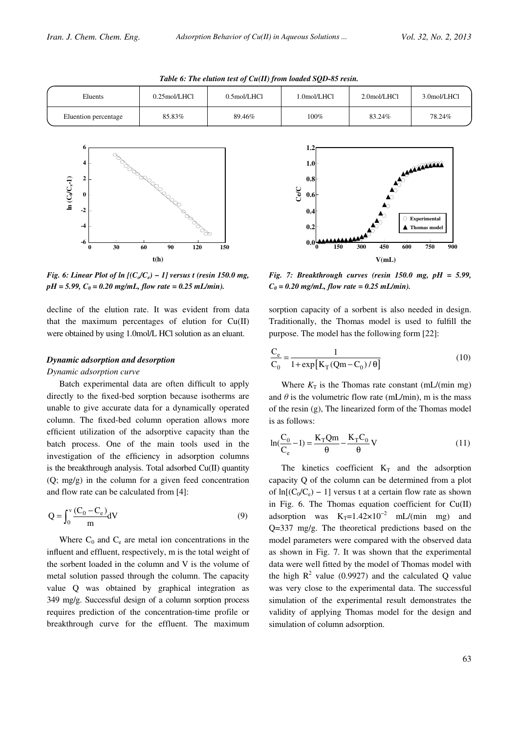| Eluents              | $0.25$ mol/LHCl | $0.5$ mol/LHCl | .0mol/LHCl | 2.0mol/LHCl | 3.0mol/LHCl |
|----------------------|-----------------|----------------|------------|-------------|-------------|
| Eluention percentage | 85.83%          | 89.46%         | 100%       | 83.24%      | 78.24%      |





Fig. 6: Linear Plot of  $ln$  [( $C_o/C_e$ ) – 1] versus t (resin 150.0 mg,  $pH = 5.99$ ,  $C_0 = 0.20$  mg/mL, flow rate = 0.25 mL/min).

decline of the elution rate. It was evident from data that the maximum percentages of elution for  $Cu(II)$ were obtained by using 1.0mol/L HCl solution as an eluant.

### Dynamic adsorption and desorption

### Dynamic adsorption curve

Batch experimental data are often difficult to apply directly to the fixed-bed sorption because isotherms are unable to give accurate data for a dynamically operated column. The fixed-bed column operation allows more efficient utilization of the adsorptive capacity than the batch process. One of the main tools used in the investigation of the efficiency in adsorption columns is the breakthrough analysis. Total adsorbed  $Cu(II)$  quantity (Q; mg/g) in the column for a given feed concentration and flow rate can be calculated from [4]:

$$
Q = \int_0^v \frac{(C_0 - C_e)}{m} dV
$$
 (9)

Where  $C_0$  and  $C_e$  are metal ion concentrations in the influent and effluent, respectively, m is the total weight of the sorbent loaded in the column and V is the volume of metal solution passed through the column. The capacity value Q was obtained by graphical integration as 349 mg/g. Successful design of a column sorption process requires prediction of the concentration-time profile or breakthrough curve for the effluent. The maximum



Fig. 7: Breakthrough curves (resin  $150.0$  mg,  $pH = 5.99$ ,  $C_0 = 0.20$  mg/mL, flow rate = 0.25 mL/min).

sorption capacity of a sorbent is also needed in design. Traditionally, the Thomas model is used to fulfill the purpose. The model has the following form [22]:

$$
\frac{C_e}{C_0} = \frac{1}{1 + \exp[K_T(Qm - C_0)/\theta]}
$$
(10)

Where  $K_T$  is the Thomas rate constant (mL/(min mg) and  $\theta$  is the volumetric flow rate (mL/min), m is the mass of the resin (g), The linearized form of the Thomas model is as follows:

$$
\ln(\frac{C_0}{C_e} - 1) = \frac{K_T Qm}{\theta} - \frac{K_T C_0}{\theta} V
$$
 (11)

The kinetics coefficient  $K_T$  and the adsorption capacity Q of the column can be determined from a plot of  $ln[(C_0/C_e) - 1]$  versus t at a certain flow rate as shown in Fig. 6. The Thomas equation coefficient for Cu(II) adsorption was  $K_T=1.42\times10^{-2}$  mL/(min mg) and Q=337 mg/g. The theoretical predictions based on the model parameters were compared with the observed data as shown in Fig. 7. It was shown that the experimental data were well fitted by the model of Thomas model with the high  $R^2$  value (0.9927) and the calculated Q value was very close to the experimental data. The successful simulation of the experimental result demonstrates the validity of applying Thomas model for the design and simulation of column adsorption.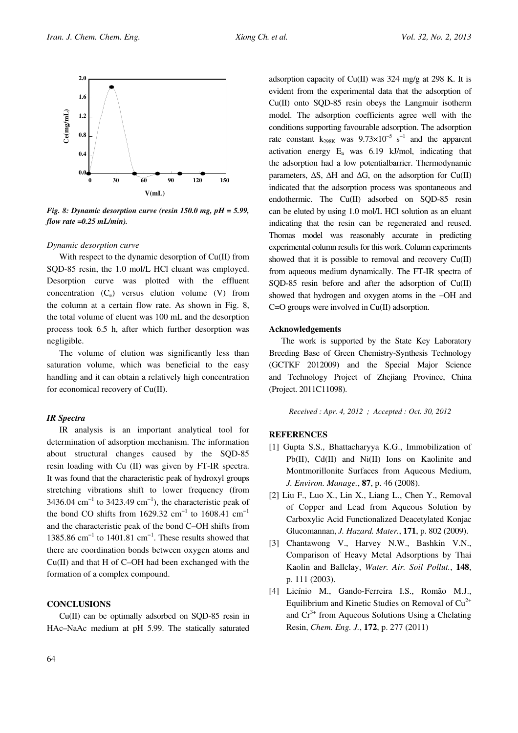

Fig. 8: Dynamic desorption curve (resin 150.0 mg,  $pH = 5.99$ , flow rate  $=0.25$  mL/min).

#### Dynamic desorption curve

With respect to the dynamic desorption of Cu(II) from SQD-85 resin, the 1.0 mol/L HCl eluant was employed. Desorption curve was plotted with the effluent concentration  $(C_e)$  versus elution volume  $(V)$  from the column at a certain flow rate. As shown in Fig. 8, the total volume of eluent was 100 mL and the desorption process took 6.5 h, after which further desorption was negligible.

The volume of elution was significantly less than saturation volume, which was beneficial to the easy handling and it can obtain a relatively high concentration for economical recovery of Cu(II).

## IR Spectra

IR analysis is an important analytical tool for determination of adsorption mechanism. The information about structural changes caused by the SQD-85 resin loading with Cu (II) was given by FT-IR spectra. It was found that the characteristic peak of hydroxyl groups stretching vibrations shift to lower frequency (from 3436.04 cm<sup>-1</sup> to 3423.49 cm<sup>-1</sup>), the characteristic peak of the bond CO shifts from 1629.32 cm<sup>-1</sup> to 1608.41 cm<sup>-1</sup> and the characteristic peak of the bond C–OH shifts from 1385.86 cm−1 to 1401.81 cm−1. These results showed that there are coordination bonds between oxygen atoms and Cu(II) and that H of C–OH had been exchanged with the formation of a complex compound.

# **CONCLUSIONS**

Cu(II) can be optimally adsorbed on SQD-85 resin in HAc–NaAc medium at pH 5.99. The statically saturated adsorption capacity of Cu(II) was 324 mg/g at 298 K. It is evident from the experimental data that the adsorption of Cu(II) onto SQD-85 resin obeys the Langmuir isotherm model. The adsorption coefficients agree well with the conditions supporting favourable adsorption. The adsorption rate constant  $k_{298K}$  was  $9.73 \times 10^{-5}$  s<sup>-1</sup> and the apparent activation energy E<sup>a</sup> was 6.19 kJ/mol, indicating that the adsorption had a low potentialbarrier. Thermodynamic parameters,  $\Delta S$ ,  $\Delta H$  and  $\Delta G$ , on the adsorption for Cu(II) indicated that the adsorption process was spontaneous and endothermic. The Cu(II) adsorbed on SQD-85 resin can be eluted by using 1.0 mol/L HCl solution as an eluant indicating that the resin can be regenerated and reused. Thomas model was reasonably accurate in predicting experimental column results for this work. Column experiments showed that it is possible to removal and recovery Cu(II) from aqueous medium dynamically. The FT-IR spectra of SQD-85 resin before and after the adsorption of Cu(II) showed that hydrogen and oxygen atoms in the −OH and  $C=O$  groups were involved in  $Cu(II)$  adsorption.

## Acknowledgements

The work is supported by the State Key Laboratory Breeding Base of Green Chemistry-Synthesis Technology (GCTKF 2012009) and the Special Major Science and Technology Project of Zhejiang Province, China (Project. 2011C11098).

Received : Apr. 4, 2012 ; Accepted : Oct. 30, 2012

### **REFERENCES**

- [1] Gupta S.S., Bhattacharyya K.G., Immobilization of Pb(II), Cd(II) and Ni(II) Ions on Kaolinite and Montmorillonite Surfaces from Aqueous Medium, J. Environ. Manage., 87, p. 46 (2008).
- [2] Liu F., Luo X., Lin X., Liang L., Chen Y., Removal of Copper and Lead from Aqueous Solution by Carboxylic Acid Functionalized Deacetylated Konjac Glucomannan, J. Hazard. Mater., 171, p. 802 (2009).
- [3] Chantawong V., Harvey N.W., Bashkin V.N., Comparison of Heavy Metal Adsorptions by Thai Kaolin and Ballclay, Water. Air. Soil Pollut., 148, p. 111 (2003).
- [4] Licínio M., Gando-Ferreira I.S., Romão M.J., Equilibrium and Kinetic Studies on Removal of  $Cu<sup>2+</sup>$ and  $Cr<sup>3+</sup>$  from Aqueous Solutions Using a Chelating Resin, Chem. Eng. J., 172, p. 277 (2011)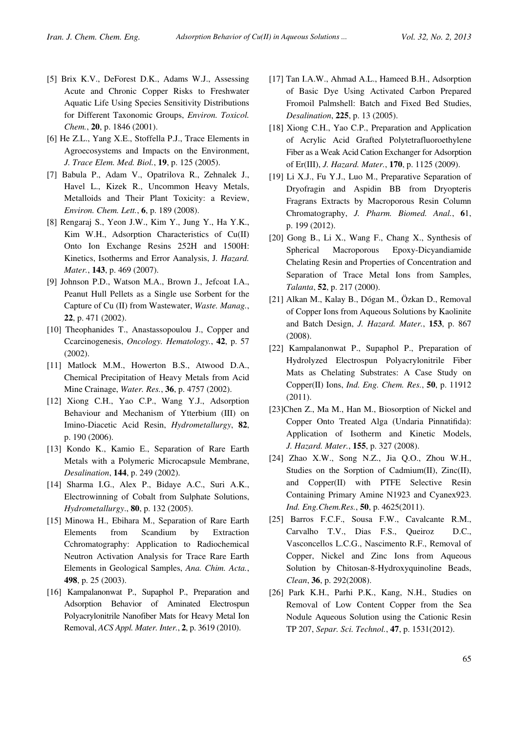- [5] Brix K.V., DeForest D.K., Adams W.J., Assessing Acute and Chronic Copper Risks to Freshwater Aquatic Life Using Species Sensitivity Distributions for Different Taxonomic Groups, Environ. Toxicol. Chem., 20, p. 1846 (2001).
- [6] He Z.L., Yang X.E., Stoffella P.J., Trace Elements in Agroecosystems and Impacts on the Environment, J. Trace Elem. Med. Biol., 19, p. 125 (2005).
- [7] Babula P., Adam V., Opatrilova R., Zehnalek J., Havel L., Kizek R., Uncommon Heavy Metals, Metalloids and Their Plant Toxicity: a Review, Environ. Chem. Lett., 6, p. 189 (2008).
- [8] Rengaraj S., Yeon J.W., Kim Y., Jung Y., Ha Y.K., Kim W.H., Adsorption Characteristics of Cu(II) Onto Ion Exchange Resins 252H and 1500H: Kinetics, Isotherms and Error Aanalysis, J. Hazard. Mater., 143, p. 469 (2007).
- [9] Johnson P.D., Watson M.A., Brown J., Jefcoat I.A., Peanut Hull Pellets as a Single use Sorbent for the Capture of Cu (II) from Wastewater, Waste. Manag., 22, p. 471 (2002).
- [10] Theophanides T., Anastassopoulou J., Copper and Ccarcinogenesis, Oncology. Hematology., 42, p. 57 (2002).
- [11] Matlock M.M., Howerton B.S., Atwood D.A., Chemical Precipitation of Heavy Metals from Acid Mine Crainage, Water. Res., 36, p. 4757 (2002).
- [12] Xiong C.H., Yao C.P., Wang Y.J., Adsorption Behaviour and Mechanism of Ytterbium (III) on Imino-Diacetic Acid Resin, Hydrometallurgy, 82, p. 190 (2006).
- [13] Kondo K., Kamio E., Separation of Rare Earth Metals with a Polymeric Microcapsule Membrane, Desalination, 144, p. 249 (2002).
- [14] Sharma I.G., Alex P., Bidaye A.C., Suri A.K., Electrowinning of Cobalt from Sulphate Solutions, Hydrometallurgy., 80, p. 132 (2005).
- [15] Minowa H., Ebihara M., Separation of Rare Earth Elements from Scandium by Extraction Cchromatography: Application to Radiochemical Neutron Activation Analysis for Trace Rare Earth Elements in Geological Samples, Ana. Chim. Acta., 498, p. 25 (2003).
- [16] Kampalanonwat P., Supaphol P., Preparation and Adsorption Behavior of Aminated Electrospun Polyacrylonitrile Nanofiber Mats for Heavy Metal Ion Removal, ACS Appl. Mater. Inter., 2, p. 3619 (2010).
- [17] Tan I.A.W., Ahmad A.L., Hameed B.H., Adsorption of Basic Dye Using Activated Carbon Prepared Fromoil Palmshell: Batch and Fixed Bed Studies, Desalination, 225, p. 13 (2005).
- [18] Xiong C.H., Yao C.P., Preparation and Application of Acrylic Acid Grafted Polytetrafluoroethylene Fiber as a Weak Acid Cation Exchanger for Adsorption of Er(III), J. Hazard. Mater., 170, p. 1125 (2009).
- [19] Li X.J., Fu Y.J., Luo M., Preparative Separation of Dryofragin and Aspidin BB from Dryopteris Fragrans Extracts by Macroporous Resin Column Chromatography, J. Pharm. Biomed. Anal., 61, p. 199 (2012).
- [20] Gong B., Li X., Wang F., Chang X., Synthesis of Spherical Macroporous Epoxy-Dicyandiamide Chelating Resin and Properties of Concentration and Separation of Trace Metal Ions from Samples, Talanta, 52, p. 217 (2000).
- [21] Alkan M., Kalay B., Dógan M., Özkan D., Removal of Copper Ions from Aqueous Solutions by Kaolinite and Batch Design, J. Hazard. Mater., 153, p. 867 (2008).
- [22] Kampalanonwat P., Supaphol P., Preparation of Hydrolyzed Electrospun Polyacrylonitrile Fiber Mats as Chelating Substrates: A Case Study on Copper(II) Ions, Ind. Eng. Chem. Res., 50, p. 11912 (2011).
- [23]Chen Z., Ma M., Han M., Biosorption of Nickel and Copper Onto Treated Alga (Undaria Pinnatifida): Application of Isotherm and Kinetic Models, J. Hazard. Mater., 155, p. 327 (2008).
- [24] Zhao X.W., Song N.Z., Jia Q.O., Zhou W.H., Studies on the Sorption of Cadmium(II), Zinc(II), and Copper(II) with PTFE Selective Resin Containing Primary Amine N1923 and Cyanex923. Ind. Eng.Chem.Res., 50, p. 4625(2011).
- [25] Barros F.C.F., Sousa F.W., Cavalcante R.M., Carvalho T.V., Dias F.S., Queiroz D.C., Vasconcellos L.C.G., Nascimento R.F., Removal of Copper, Nickel and Zinc Ions from Aqueous Solution by Chitosan-8-Hydroxyquinoline Beads, Clean, 36, p. 292(2008).
- [26] Park K.H., Parhi P.K., Kang, N.H., Studies on Removal of Low Content Copper from the Sea Nodule Aqueous Solution using the Cationic Resin TP 207, Separ. Sci. Technol., 47, p. 1531(2012).